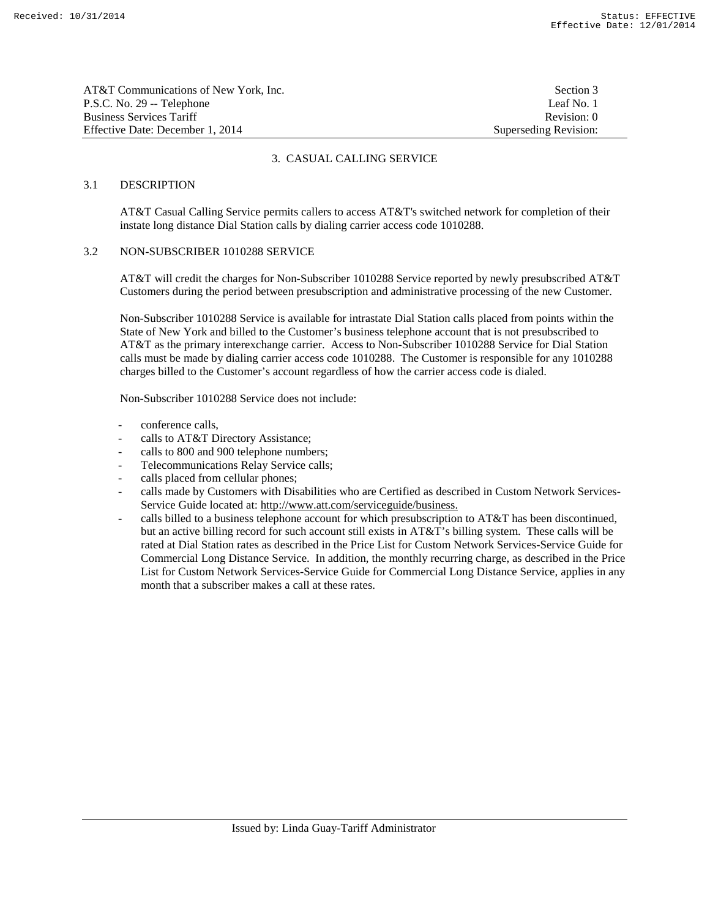| AT&T Communications of New York, Inc. | Section 3             |
|---------------------------------------|-----------------------|
| P.S.C. No. 29 -- Telephone            | Leaf No. 1            |
| <b>Business Services Tariff</b>       | Revision: 0           |
| Effective Date: December 1, 2014      | Superseding Revision: |

## 3. CASUAL CALLING SERVICE

## 3.1 DESCRIPTION

 AT&T Casual Calling Service permits callers to access AT&T's switched network for completion of their instate long distance Dial Station calls by dialing carrier access code 1010288.

#### 3.2 NON-SUBSCRIBER 1010288 SERVICE

 AT&T will credit the charges for Non-Subscriber 1010288 Service reported by newly presubscribed AT&T Customers during the period between presubscription and administrative processing of the new Customer.

 Non-Subscriber 1010288 Service is available for intrastate Dial Station calls placed from points within the State of New York and billed to the Customer's business telephone account that is not presubscribed to AT&T as the primary interexchange carrier. Access to Non-Subscriber 1010288 Service for Dial Station calls must be made by dialing carrier access code 1010288. The Customer is responsible for any 1010288 charges billed to the Customer's account regardless of how the carrier access code is dialed.

Non-Subscriber 1010288 Service does not include:

- conference calls,
- calls to AT&T Directory Assistance;
- calls to 800 and 900 telephone numbers;
- Telecommunications Relay Service calls;
- calls placed from cellular phones;
- calls made by Customers with Disabilities who are Certified as described in Custom Network Services-Service Guide located at: http://www.att.com/serviceguide/business.
- calls billed to a business telephone account for which presubscription to AT&T has been discontinued, but an active billing record for such account still exists in AT&T's billing system. These calls will be rated at Dial Station rates as described in the Price List for Custom Network Services-Service Guide for Commercial Long Distance Service. In addition, the monthly recurring charge, as described in the Price List for Custom Network Services-Service Guide for Commercial Long Distance Service, applies in any month that a subscriber makes a call at these rates.